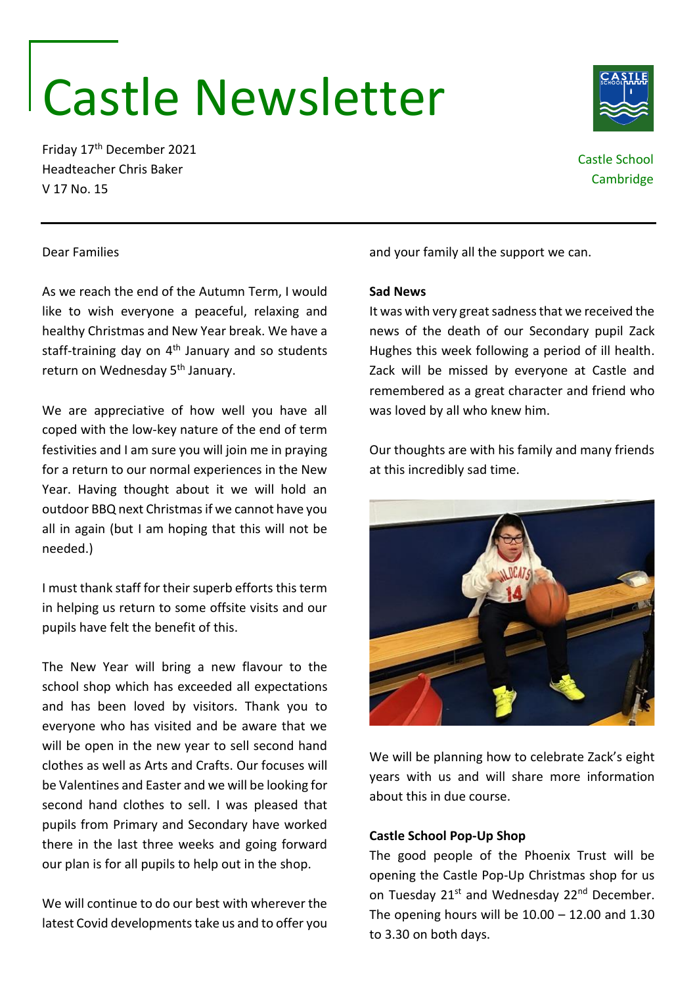# Castle Newsletter

Friday 17th December 2021 Headteacher Chris Baker V 17 No. 15

Castle School Cambridge

# Dear Families

As we reach the end of the Autumn Term, I would like to wish everyone a peaceful, relaxing and healthy Christmas and New Year break. We have a staff-training day on  $4<sup>th</sup>$  January and so students return on Wednesday 5<sup>th</sup> January.

We are appreciative of how well you have all coped with the low-key nature of the end of term festivities and I am sure you will join me in praying for a return to our normal experiences in the New Year. Having thought about it we will hold an outdoor BBQ next Christmas if we cannot have you all in again (but I am hoping that this will not be needed.)

I must thank staff for their superb efforts this term in helping us return to some offsite visits and our pupils have felt the benefit of this.

The New Year will bring a new flavour to the school shop which has exceeded all expectations and has been loved by visitors. Thank you to everyone who has visited and be aware that we will be open in the new year to sell second hand clothes as well as Arts and Crafts. Our focuses will be Valentines and Easter and we will be looking for second hand clothes to sell. I was pleased that pupils from Primary and Secondary have worked there in the last three weeks and going forward our plan is for all pupils to help out in the shop.

We will continue to do our best with wherever the latest Covid developments take us and to offer you and your family all the support we can.

### **Sad News**

It was with very great sadness that we received the news of the death of our Secondary pupil Zack Hughes this week following a period of ill health. Zack will be missed by everyone at Castle and remembered as a great character and friend who was loved by all who knew him.

Our thoughts are with his family and many friends at this incredibly sad time.



We will be planning how to celebrate Zack's eight years with us and will share more information about this in due course.

# **Castle School Pop-Up Shop**

The good people of the Phoenix Trust will be opening the Castle Pop-Up Christmas shop for us on Tuesday 21<sup>st</sup> and Wednesday 22<sup>nd</sup> December. The opening hours will be  $10.00 - 12.00$  and  $1.30$ to 3.30 on both days.